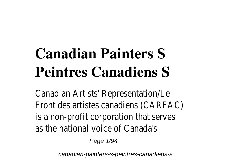# **Canadian Painters S Peintres Canadiens S**

Canadian Artists' Representation/Le Front des artistes canadiens (CARFA is a non-profit corporation that serv as the national voice of Canada's

Page 1/94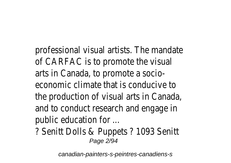professional visual artists. The mand of CARFAC is to promote the visual arts in Canada, to promote a socioeconomic climate that is conducive to the production of visual arts in Cana and to conduct research and engage public education for ...

? Senitt Dolls & Puppets ? 1093 Sen Page 2/94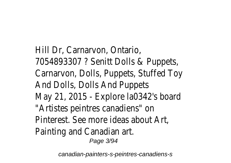Hill Dr, Carnarvon, Ontario, 7054893307 ? Senitt Dolls & Puppe Carnarvon, Dolls, Puppets, Stuffed To And Dolls, Dolls And Puppets May 21, 2015 - Explore  $a$  and  $a$ <sup>2</sup> s bo "Artistes peintres canadiens" on Pinterest. See more ideas about Art, Painting and Canadian art. Page 3/94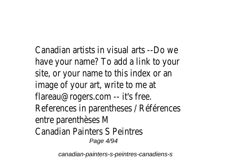Canadian artists in visual arts --Do v have your name? To add a link to your site, or your name to this index or a image of your art, write to me at flareau@rogers.com -- it's free. References in parentheses / Référen entre parenthèses M Canadian Painters S Peintres Page 4/94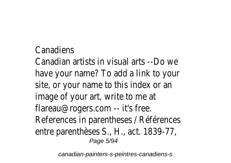#### **Canadiens**

Canadian artists in visual arts --Do y have your name? To add a link to your site, or your name to this index or a image of your art, write to me at flareau@rogers.com -- it's free. References in parentheses / Référen entre parenthèses S., H., act. 1839-7 Page 5/94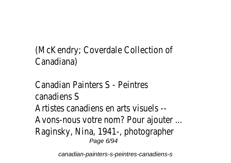### (McKendry; Coverdale Collection of Canadiana)

#### Canadian Painters S - Peintres canadiens S Artistes canadiens en arts visuels -- Avons-nous votre nom? Pour ajouter Raginsky, Nina, 1941-, photographer Page 6/94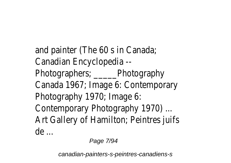and painter (The 60 s in Canada; Canadian Encyclopedia -- Photographers; \_\_\_\_\_Photography Canada 1967; Image 6: Contemporar Photography 1970; Image 6: Contemporary Photography 1970) ... Art Gallery of Hamilton; Peintres juifs de ...

Page 7/94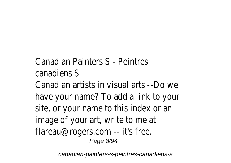#### Canadian Painters S - Peintres canadiens S

Canadian artists in visual arts --Do v have your name? To add a link to your site, or your name to this index or a image of your art, write to me at flareau@rogers.com -- it's free. Page 8/94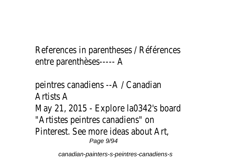References in parentheses / Référen entre parenthèses----- A

peintres canadiens --A / Canadian Artists A May 21, 2015 - Explore  $a$  and  $a$ <sup>2</sup> s bo "Artistes peintres canadiens" on Pinterest. See more ideas about Art, Page 9/94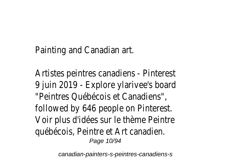Painting and Canadian art.

Artistes peintres canadiens - Pintere 9 juin 2019 - Explore ylarivee's board "Peintres Québécois et Canadiens", followed by 646 people on Pinterest. Voir plus d'idées sur le thème Peintre québécois, Peintre et Art canadien. Page 10/94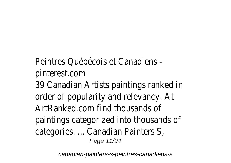#### Peintres Québécois et Canadiens pinterest.com

39 Canadian Artists paintings ranked order of popularity and relevancy. At ArtRanked.com find thousands of paintings categorized into thousands categories. ... Canadian Painters S, Page 11/94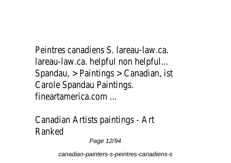Peintres canadiens S. lareau-law.ca. lareau-law.ca. helpful non helpful... Spandau, > Paintings > Canadian, ist Carole Spandau Paintings. fineartamerica.com ...

Canadian Artists paintings - Art Ranked

Page 12/94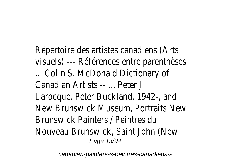Répertoire des artistes canadiens (A) visuels) --- Références entre parenth ... Colin S. McDonald Dictionary of Canadian Artists -- ... Peter J. Larocque, Peter Buckland, 1942-, and New Brunswick Museum, Portraits N Brunswick Painters / Peintres du Nouveau Brunswick, Saint John (New Page 13/94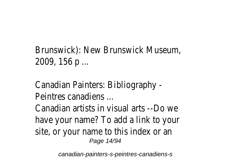#### Brunswick): New Brunswick Museum, 2009, 156 p ...

Canadian Painters: Bibliography - Peintres canadiens ... Canadian artists in visual arts --Do v have your name? To add a link to your site, or your name to this index or an Page 14/94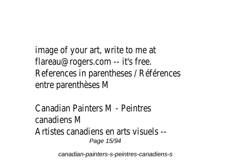image of your art, write to me at flareau@rogers.com -- it's free. References in parentheses / Référen entre parenthèses M

Canadian Painters M - Peintres canadiens M Artistes canadiens en arts visuels -- Page 15/94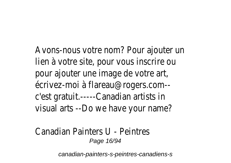Avons-nous votre nom? Pour ajouter lien à votre site, pour vous inscrire ou pour ajouter une image de votre art, écrivez-moi à flareau@rogers.com- c'est gratuit.-----Canadian artists in visual arts --Do we have your name?

#### Canadian Painters U - Peintres Page 16/94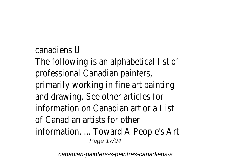canadiens U

The following is an alphabetical list of professional Canadian painters,

primarily working in fine art painting and drawing. See other articles for information on Canadian art or a List

of Canadian artists for other

information. ... Toward A People's Art Page 17/94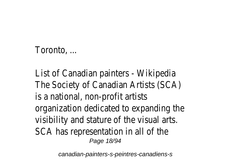#### Toronto, ...

List of Canadian painters - Wikipedia The Society of Canadian Artists (SCA) is a national, non-profit artists organization dedicated to expanding visibility and stature of the visual art SCA has representation in all of the Page 18/94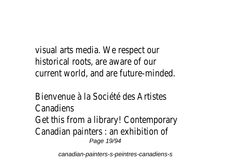visual arts media. We respect our historical roots, are aware of our current world, and are future-minded

Bienvenue à la Société des Artistes Canadiens

Get this from a library! Contemporar Canadian painters : an exhibition of Page 19/94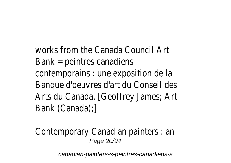works from the Canada Council Art Bank = peintres canadiens contemporains : une exposition de la Banque d'oeuvres d'art du Conseil de Arts du Canada. [Geoffrey James; Art Bank (Canada);]

Contemporary Canadian painters : an Page 20/94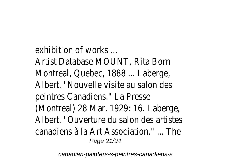exhibition of works ...

Artist Database MOUNT, Rita Born Montreal, Quebec, 1888 ... Laberge, Albert. "Nouvelle visite au salon des peintres Canadiens." La Presse (Montreal) 28 Mar. 1929: 16. Laberg Albert. "Ouverture du salon des artis canadiens à la Art Association." ... The Page 21/94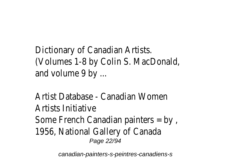Dictionary of Canadian Artists. (Volumes 1-8 by Colin S. MacDonald, and volume 9 by ...

Artist Database - Canadian Women Artists Initiative Some French Canadian painters = by 1956, National Gallery of Canada Page 22/94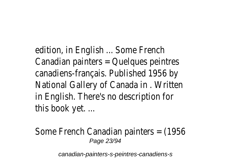edition, in English ... Some French Canadian painters = Quelques peintres canadiens-français. Published 1956 b National Gallery of Canada in . Writte in English. There's no description for this book yet. ...

Some French Canadian painters =  $(195)$ Page 23/94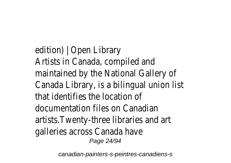edition) | Open Library Artists in Canada, compiled and maintained by the National Gallery of Canada Library, is a bilingual union list that identifies the location of documentation files on Canadian artists.Twenty-three libraries and arti galleries across Canada have Page 24/94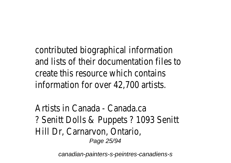contributed biographical information and lists of their documentation files create this resource which contains information for over 42,700 artists.

Artists in Canada - Canada.ca ? Senitt Dolls & Puppets ? 1093 Sen Hill Dr, Carnarvon, Ontario, Page 25/94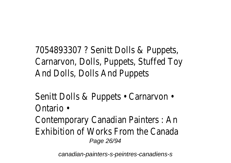7054893307 ? Senitt Dolls & Puppe Carnarvon, Dolls, Puppets, Stuffed To And Dolls, Dolls And Puppets

Senitt Dolls & Puppets • Carnarvon • Ontario •

Contemporary Canadian Painters : An Exhibition of Works From the Canada Page 26/94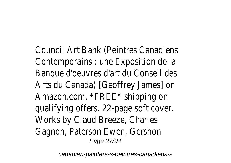Council Art Bank (Peintres Canadiens Contemporains : une Exposition de la Banque d'oeuvres d'art du Conseil de Arts du Canada) [Geoffrey James] on Amazon.com. \*FREE\* shipping on qualifying offers. 22-page soft cover. Works by Claud Breeze, Charles Gagnon, Paterson Ewen, Gershon Page 27/94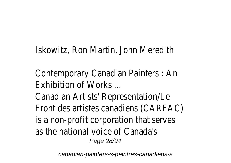Iskowitz, Ron Martin, John Meredith

Contemporary Canadian Painters : An Exhibition of Works ...

Canadian Artists' Representation/Le Front des artistes canadiens (CARFA is a non-profit corporation that serves as the national voice of Canada's Page 28/94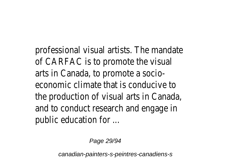professional visual artists. The mand of CARFAC is to promote the visual arts in Canada, to promote a socioeconomic climate that is conducive to the production of visual arts in Cana and to conduct research and engage public education for ...

Page 29/94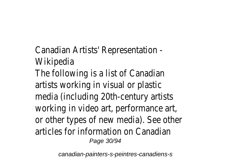- Canadian Artists' Representation Wikipedia
- The following is a list of Canadian artists working in visual or plastic media (including 20th-century artists working in video art, performance art or other types of new media). See other articles for information on Canadian Page 30/94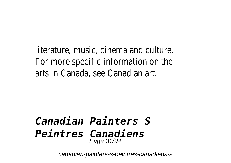literature, music, cinema and culture. For more specific information on the arts in Canada, see Canadian art.

#### *Canadian Painters S Peintres Canadiens* Page 31/94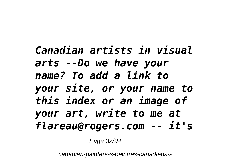*Canadian artists in visual arts --Do we have your name? To add a link to your site, or your name to this index or an image of your art, write to me at flareau@rogers.com -- it's*

Page 32/94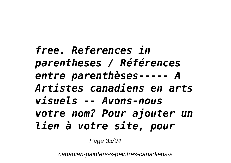*free. References in parentheses / Références entre parenthèses----- A Artistes canadiens en arts visuels -- Avons-nous votre nom? Pour ajouter un lien à votre site, pour*

Page 33/94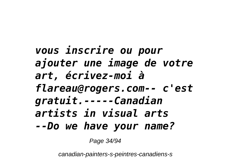*vous inscrire ou pour ajouter une image de votre art, écrivez-moi à flareau@rogers.com-- c'est gratuit.-----Canadian artists in visual arts --Do we have your name?*

Page 34/94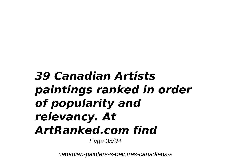## *39 Canadian Artists paintings ranked in order of popularity and relevancy. At ArtRanked.com find*

Page 35/94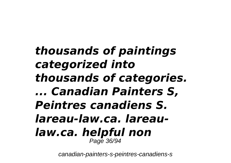## *thousands of paintings categorized into thousands of categories. ... Canadian Painters S, Peintres canadiens S. lareau-law.ca. lareaulaw.ca. helpful non* Page 36/94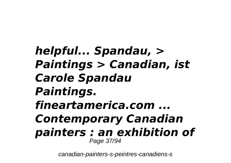*helpful... Spandau, > Paintings > Canadian, ist Carole Spandau Paintings. fineartamerica.com ... Contemporary Canadian painters : an exhibition of* Page 37/94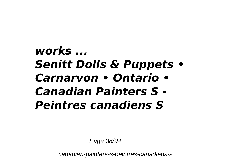# *works ... Senitt Dolls & Puppets • Carnarvon • Ontario • Canadian Painters S - Peintres canadiens S*

Page 38/94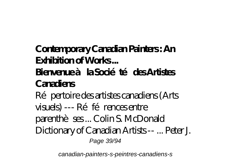**Contemporary Canadian Painters : An Exhibition of Works ...**

#### Bienvenue à la Société des Artistes **Canadiens**

Répertoire des artistes canadiens (Arts visuels) --- Références entre parenthèses ... Colin S. McDonald Dictionary of Canadian Artists -- ... Peter J. Page 39/94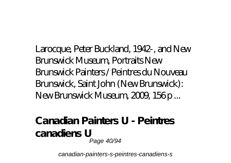Larocque, Peter Buckland, 1942-, and New Brunswick Museum, Portraits New Brunswick Painters / Peintres du Nouveau Brunswick, Saint John (New Brunswick): New Brunswick Museum, 2009, 156 p...

**Canadian Painters U - Peintres canadiens U** Page 40/94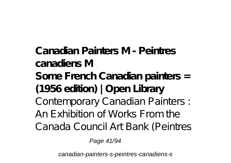**Canadian Painters M - Peintres canadiens M Some French Canadian painters = (1956 edition) | Open Library** Contemporary Canadian Painters : An Exhibition of Works From the Canada Council Art Bank (Peintres

Page 41/94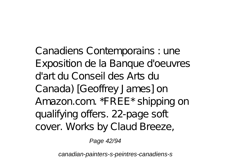Canadiens Contemporains : une Exposition de la Banque d'oeuvres d'art du Conseil des Arts du Canada) [Geoffrey James] on Amazon.com. \*FREE\* shipping on qualifying offers. 22-page soft cover. Works by Claud Breeze,

Page 42/94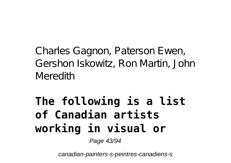Charles Gagnon, Paterson Ewen, Gershon Iskowitz, Ron Martin, John **Meredith** 

# **The following is a list of Canadian artists working in visual or**

Page 43/94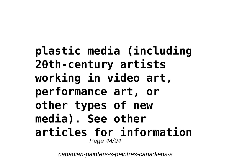**plastic media (including 20th-century artists working in video art, performance art, or other types of new media). See other articles for information** Page 44/94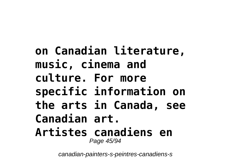**on Canadian literature, music, cinema and culture. For more specific information on the arts in Canada, see Canadian art. Artistes canadiens en** Page 45/94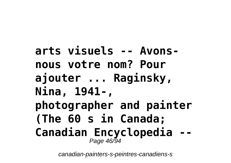```
arts visuels -- Avons-
nous votre nom? Pour
ajouter ... Raginsky,
Nina, 1941-,
photographer and painter
(The 60 s in Canada;
Canadian Encyclopedia --
        Page 46/94
```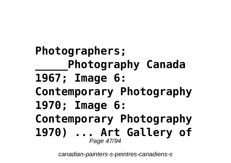**Photographers; \_\_\_\_\_Photography Canada 1967; Image 6: Contemporary Photography 1970; Image 6: Contemporary Photography 1970) ... Art Gallery of** Page 47/94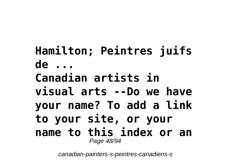**Hamilton; Peintres juifs de ... Canadian artists in visual arts --Do we have your name? To add a link to your site, or your name to this index or an** Page 48/94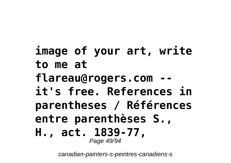## **image of your art, write to me at** flareau@rogers.com **it's free. References in parentheses / Références entre parenthèses S., H., act. 1839-77,** Page 49/94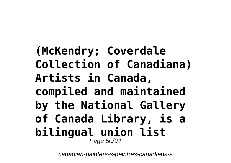## **(McKendry; Coverdale Collection of Canadiana) Artists in Canada, compiled and maintained by the National Gallery of Canada Library, is a bilingual union list** Page 50/94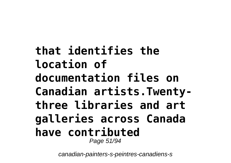**that identifies the location of documentation files on Canadian artists.Twentythree libraries and art galleries across Canada have contributed** Page 51/94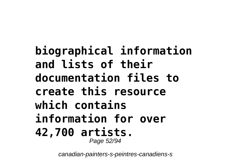**biographical information and lists of their documentation files to create this resource which contains information for over 42,700 artists.** Page 52/94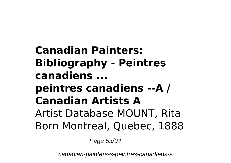## **Canadian Painters: Bibliography - Peintres canadiens ... peintres canadiens --A / Canadian Artists A** Artist Database MOUNT, Rita Born Montreal, Quebec, 1888

Page 53/94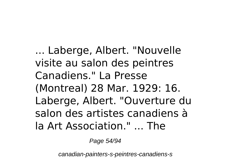... Laberge, Albert. "Nouvelle visite au salon des peintres Canadiens." La Presse (Montreal) 28 Mar. 1929: 16. Laberge, Albert. "Ouverture du salon des artistes canadiens à la Art Association." ... The

Page 54/94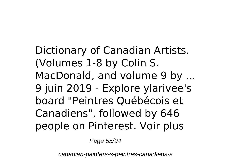Dictionary of Canadian Artists. (Volumes 1-8 by Colin S. MacDonald, and volume 9 by ... 9 juin 2019 - Explore ylarivee's board "Peintres Québécois et Canadiens", followed by 646 people on Pinterest. Voir plus

Page 55/94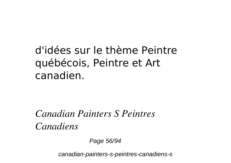### d'idées sur le thème Peintre québécois, Peintre et Art canadien.

#### *Canadian Painters S Peintres Canadiens*

Page 56/94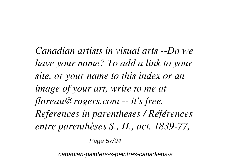*Canadian artists in visual arts --Do we have your name? To add a link to your site, or your name to this index or an image of your art, write to me at flareau@rogers.com -- it's free. References in parentheses / Références entre parenthèses S., H., act. 1839-77,*

Page 57/94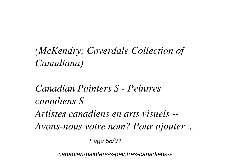### *(McKendry; Coverdale Collection of Canadiana)*

# *Canadian Painters S - Peintres canadiens S Artistes canadiens en arts visuels -- Avons-nous votre nom? Pour ajouter ...*

Page 58/94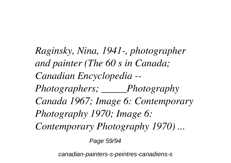*Raginsky, Nina, 1941-, photographer and painter (The 60 s in Canada; Canadian Encyclopedia -- Photographers; \_\_\_\_\_Photography Canada 1967; Image 6: Contemporary Photography 1970; Image 6: Contemporary Photography 1970) ...*

Page 59/94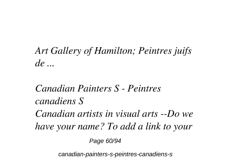### *Art Gallery of Hamilton; Peintres juifs de ...*

## *Canadian Painters S - Peintres canadiens S Canadian artists in visual arts --Do we have your name? To add a link to your*

Page 60/94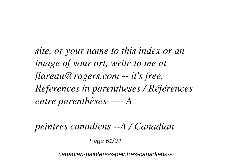*site, or your name to this index or an image of your art, write to me at flareau@rogers.com -- it's free. References in parentheses / Références entre parenthèses----- A*

*peintres canadiens --A / Canadian*

Page 61/94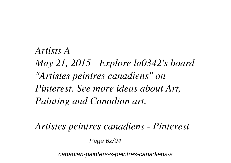### *Artists A May 21, 2015 - Explore la0342's board "Artistes peintres canadiens" on Pinterest. See more ideas about Art, Painting and Canadian art.*

*Artistes peintres canadiens - Pinterest*

Page 62/94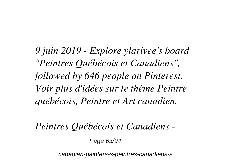*9 juin 2019 - Explore ylarivee's board "Peintres Québécois et Canadiens", followed by 646 people on Pinterest. Voir plus d'idées sur le thème Peintre québécois, Peintre et Art canadien.*

*Peintres Québécois et Canadiens -*

Page 63/94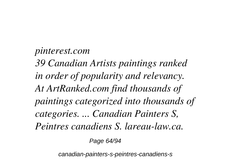*pinterest.com 39 Canadian Artists paintings ranked in order of popularity and relevancy. At ArtRanked.com find thousands of paintings categorized into thousands of categories. ... Canadian Painters S, Peintres canadiens S. lareau-law.ca.*

Page 64/94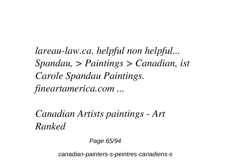*lareau-law.ca. helpful non helpful... Spandau, > Paintings > Canadian, ist Carole Spandau Paintings. fineartamerica.com ...*

*Canadian Artists paintings - Art Ranked*

Page 65/94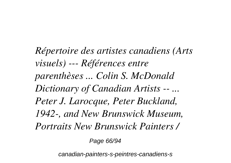*Répertoire des artistes canadiens (Arts visuels) --- Références entre parenthèses ... Colin S. McDonald Dictionary of Canadian Artists -- ... Peter J. Larocque, Peter Buckland, 1942-, and New Brunswick Museum, Portraits New Brunswick Painters /*

Page 66/94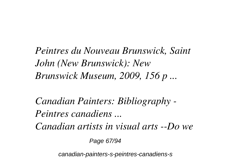*Peintres du Nouveau Brunswick, Saint John (New Brunswick): New Brunswick Museum, 2009, 156 p ...*

*Canadian Painters: Bibliography - Peintres canadiens ... Canadian artists in visual arts --Do we*

Page 67/94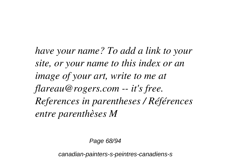*have your name? To add a link to your site, or your name to this index or an image of your art, write to me at flareau@rogers.com -- it's free. References in parentheses / Références entre parenthèses M*

Page 68/94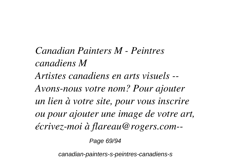*Canadian Painters M - Peintres canadiens M Artistes canadiens en arts visuels -- Avons-nous votre nom? Pour ajouter un lien à votre site, pour vous inscrire ou pour ajouter une image de votre art, écrivez-moi à flareau@rogers.com--*

Page 69/94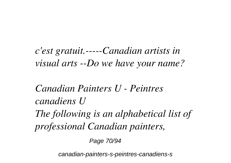*c'est gratuit.-----Canadian artists in visual arts --Do we have your name?*

*Canadian Painters U - Peintres canadiens U The following is an alphabetical list of professional Canadian painters,*

Page 70/94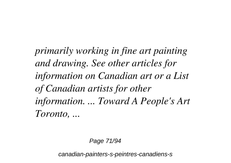*primarily working in fine art painting and drawing. See other articles for information on Canadian art or a List of Canadian artists for other information. ... Toward A People's Art Toronto, ...*

Page 71/94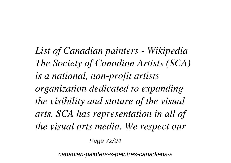*List of Canadian painters - Wikipedia The Society of Canadian Artists (SCA) is a national, non-profit artists organization dedicated to expanding the visibility and stature of the visual arts. SCA has representation in all of the visual arts media. We respect our*

Page 72/94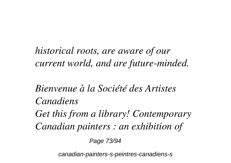*historical roots, are aware of our current world, and are future-minded.*

*Bienvenue à la Société des Artistes Canadiens Get this from a library! Contemporary Canadian painters : an exhibition of*

Page 73/94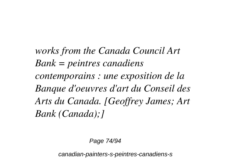*works from the Canada Council Art Bank = peintres canadiens contemporains : une exposition de la Banque d'oeuvres d'art du Conseil des Arts du Canada. [Geoffrey James; Art Bank (Canada);]*

Page 74/94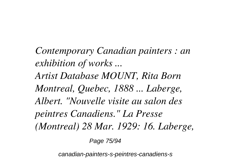*Contemporary Canadian painters : an exhibition of works ... Artist Database MOUNT, Rita Born Montreal, Quebec, 1888 ... Laberge, Albert. "Nouvelle visite au salon des peintres Canadiens." La Presse (Montreal) 28 Mar. 1929: 16. Laberge,*

Page 75/94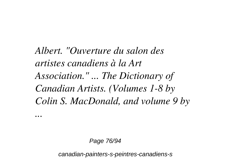*Albert. "Ouverture du salon des artistes canadiens à la Art Association." ... The Dictionary of Canadian Artists. (Volumes 1-8 by Colin S. MacDonald, and volume 9 by*

*...*

Page 76/94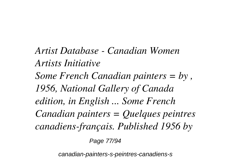*Artist Database - Canadian Women Artists Initiative Some French Canadian painters = by , 1956, National Gallery of Canada edition, in English ... Some French Canadian painters = Quelques peintres canadiens-français. Published 1956 by*

Page 77/94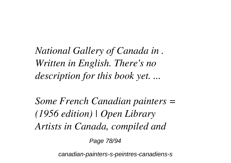*National Gallery of Canada in . Written in English. There's no description for this book yet. ...*

*Some French Canadian painters = (1956 edition) | Open Library Artists in Canada, compiled and*

Page 78/94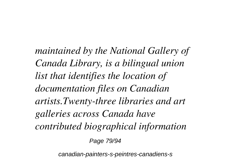*maintained by the National Gallery of Canada Library, is a bilingual union list that identifies the location of documentation files on Canadian artists.Twenty-three libraries and art galleries across Canada have contributed biographical information*

Page 79/94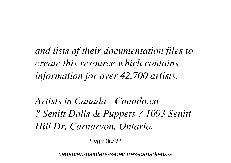*and lists of their documentation files to create this resource which contains information for over 42,700 artists.*

*Artists in Canada - Canada.ca ? Senitt Dolls & Puppets ? 1093 Senitt Hill Dr, Carnarvon, Ontario,*

Page 80/94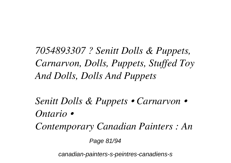*7054893307 ? Senitt Dolls & Puppets, Carnarvon, Dolls, Puppets, Stuffed Toy And Dolls, Dolls And Puppets*

*Senitt Dolls & Puppets • Carnarvon • Ontario • Contemporary Canadian Painters : An* Page 81/94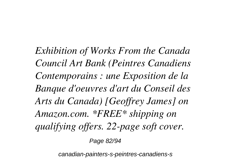*Exhibition of Works From the Canada Council Art Bank (Peintres Canadiens Contemporains : une Exposition de la Banque d'oeuvres d'art du Conseil des Arts du Canada) [Geoffrey James] on Amazon.com. \*FREE\* shipping on qualifying offers. 22-page soft cover.*

Page 82/94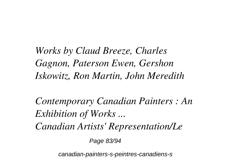*Works by Claud Breeze, Charles Gagnon, Paterson Ewen, Gershon Iskowitz, Ron Martin, John Meredith*

*Contemporary Canadian Painters : An Exhibition of Works ... Canadian Artists' Representation/Le*

Page 83/94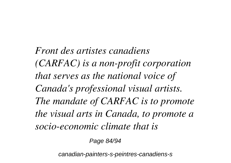*Front des artistes canadiens (CARFAC) is a non-profit corporation that serves as the national voice of Canada's professional visual artists. The mandate of CARFAC is to promote the visual arts in Canada, to promote a socio-economic climate that is*

Page 84/94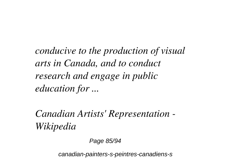*conducive to the production of visual arts in Canada, and to conduct research and engage in public education for ...*

*Canadian Artists' Representation - Wikipedia*

Page 85/94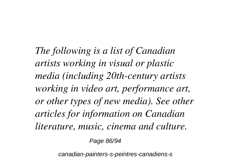*The following is a list of Canadian artists working in visual or plastic media (including 20th-century artists working in video art, performance art, or other types of new media). See other articles for information on Canadian literature, music, cinema and culture.*

Page 86/94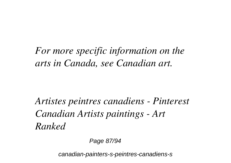*For more specific information on the arts in Canada, see Canadian art.*

*Artistes peintres canadiens - Pinterest Canadian Artists paintings - Art Ranked*

Page 87/94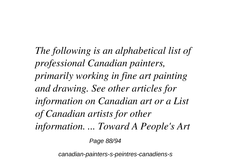*The following is an alphabetical list of professional Canadian painters, primarily working in fine art painting and drawing. See other articles for information on Canadian art or a List of Canadian artists for other information. ... Toward A People's Art*

Page 88/94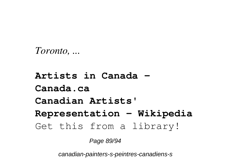```
Toronto, ...
```
**Artists in Canada - Canada.ca Canadian Artists' Representation - Wikipedia** Get this from a library!

Page 89/94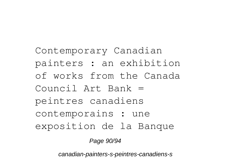Contemporary Canadian painters : an exhibition of works from the Canada Council Art Bank = peintres canadiens contemporains : une exposition de la Banque

Page 90/94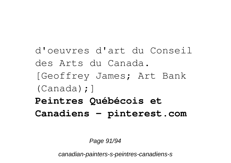d'oeuvres d'art du Conseil des Arts du Canada. [Geoffrey James; Art Bank (Canada);] **Peintres Québécois et Canadiens - pinterest.com**

Page 91/94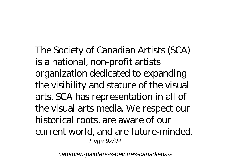The Society of Canadian Artists (SCA) is a national, non-profit artists organization dedicated to expanding the visibility and stature of the visual arts. SCA has representation in all of the visual arts media. We respect our historical roots, are aware of our current world, and are future-minded. Page 92/94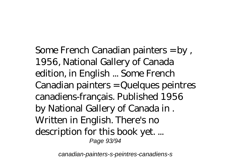Some French Canadian painters = by , 1956, National Gallery of Canada edition, in English ... Some French Canadian painters = Quelques peintres canadiens-français. Published 1956 by National Gallery of Canada in . Written in English. There's no description for this book yet. ... Page 93/94